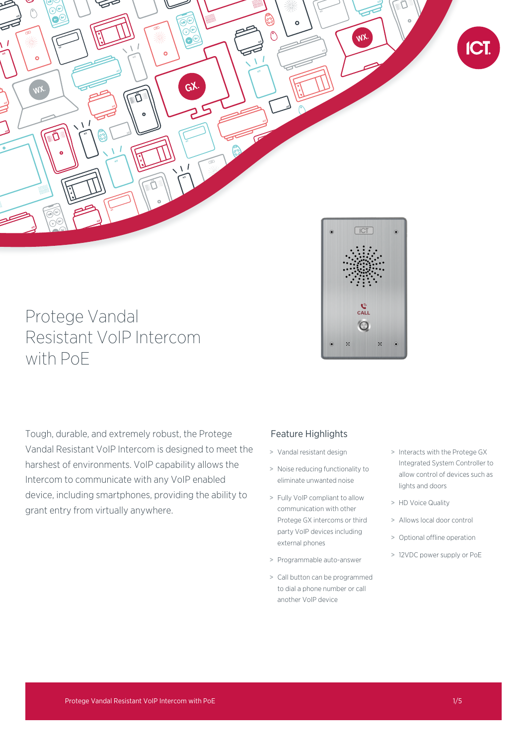

# Protege Vandal Resistant VoIP Intercom with PoE

 $\mathbf{c}_{\mathrm{ALL}}^{\mathbf{c}}$  $\bigcap$  $\mathcal{V}$ 

Tough, durable, and extremely robust, the Protege Vandal Resistant VoIP Intercom is designed to meet the harshest of environments. VoIP capability allows the Intercom to communicate with any VoIP enabled device, including smartphones, providing the ability to grant entry from virtually anywhere.

# Feature Highlights

- > Vandal resistant design
- > Noise reducing functionality to eliminate unwanted noise
- > Fully VoIP compliant to allow communication with other Protege GX intercoms or third party VoIP devices including external phones
- > Programmable auto-answer
- > Call button can be programmed to dial a phone number or call another VoIP device
- > Interacts with the Protege GX Integrated System Controller to allow control of devices such as lights and doors
- > HD Voice Quality
- > Allows local door control
- > Optional offline operation
- > 12VDC power supply or PoE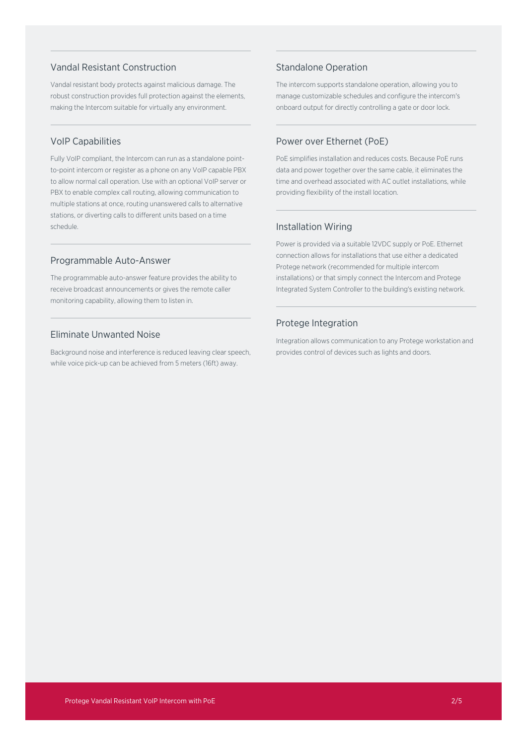# Vandal Resistant Construction

Vandal resistant body protects against malicious damage. The robust construction provides full protection against the elements, making the Intercom suitable for virtually any environment.

# VoIP Capabilities

Fully VoIP compliant, the Intercom can run as a standalone pointto-point intercom or register as a phone on any VoIP capable PBX to allow normal call operation. Use with an optional VoIP server or PBX to enable complex call routing, allowing communication to multiple stations at once, routing unanswered calls to alternative stations, or diverting calls to different units based on a time schedule.

### Programmable Auto-Answer

The programmable auto-answer feature provides the ability to receive broadcast announcements or gives the remote caller monitoring capability, allowing them to listen in.

# Eliminate Unwanted Noise

Background noise and interference is reduced leaving clear speech, while voice pick-up can be achieved from 5 meters (16ft) away.

# Standalone Operation

The intercom supports standalone operation, allowing you to manage customizable schedules and configure the intercom's onboard output for directly controlling a gate or door lock.

# Power over Ethernet (PoE)

PoE simplifies installation and reduces costs. Because PoE runs data and power together over the same cable, it eliminates the time and overhead associated with AC outlet installations, while providing flexibility of the install location.

# Installation Wiring

Power is provided via a suitable 12VDC supply or PoE. Ethernet connection allows for installations that use either a dedicated Protege network (recommended for multiple intercom installations) or that simply connect the Intercom and Protege Integrated System Controller to the building's existing network.

# Protege Integration

Integration allows communication to any Protege workstation and provides control of devices such as lights and doors.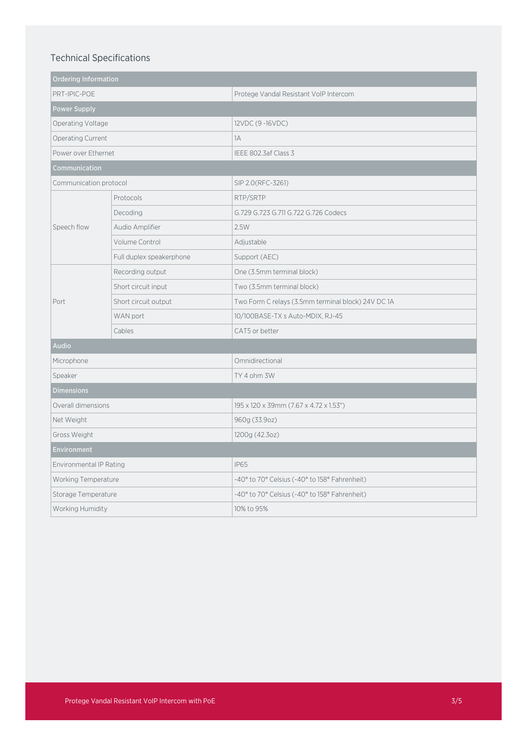# Technical Specifications

| <b>Ordering Information</b> |                          |                                                    |
|-----------------------------|--------------------------|----------------------------------------------------|
| PRT-IPIC-POE                |                          | Protege Vandal Resistant VoIP Intercom             |
| <b>Power Supply</b>         |                          |                                                    |
| Operating Voltage           |                          | 12VDC (9-16VDC)                                    |
| Operating Current           |                          | 1A                                                 |
| Power over Ethernet         |                          | IEEE 802.3af Class 3                               |
| Communication               |                          |                                                    |
| Communication protocol      |                          | SIP 2.0(RFC-3261)                                  |
| Speech flow                 | Protocols                | RTP/SRTP                                           |
|                             | Decoding                 | G.729 G.723 G.711 G.722 G.726 Codecs               |
|                             | Audio Amplifier          | 2.5W                                               |
|                             | Volume Control           | Adjustable                                         |
|                             | Full duplex speakerphone | Support (AEC)                                      |
| Port                        | Recording output         | One (3.5mm terminal block)                         |
|                             | Short circuit input      | Two (3.5mm terminal block)                         |
|                             | Short circuit output     | Two Form C relays (3.5mm terminal block) 24V DC 1A |
|                             | WAN port                 | 10/100BASE-TX s Auto-MDIX, RJ-45                   |
|                             | Cables                   | CAT5 or better                                     |
| <b>Audio</b>                |                          |                                                    |
| Microphone                  |                          | Omnidirectional                                    |
| Speaker                     |                          | TY 4 ohm 3W                                        |
| <b>Dimensions</b>           |                          |                                                    |
| Overall dimensions          |                          | 195 x 120 x 39mm (7.67 x 4.72 x 1.53")             |
| Net Weight                  |                          | 960g (33.9oz)                                      |
| Gross Weight                |                          | 1200g (42.3oz)                                     |
| <b>Environment</b>          |                          |                                                    |
| Environmental IP Rating     |                          | <b>IP65</b>                                        |
| Working Temperature         |                          | -40° to 70° Celsius (-40° to 158° Fahrenheit)      |
| Storage Temperature         |                          | -40° to 70° Celsius (-40° to 158° Fahrenheit)      |
| Working Humidity            |                          | 10% to 95%                                         |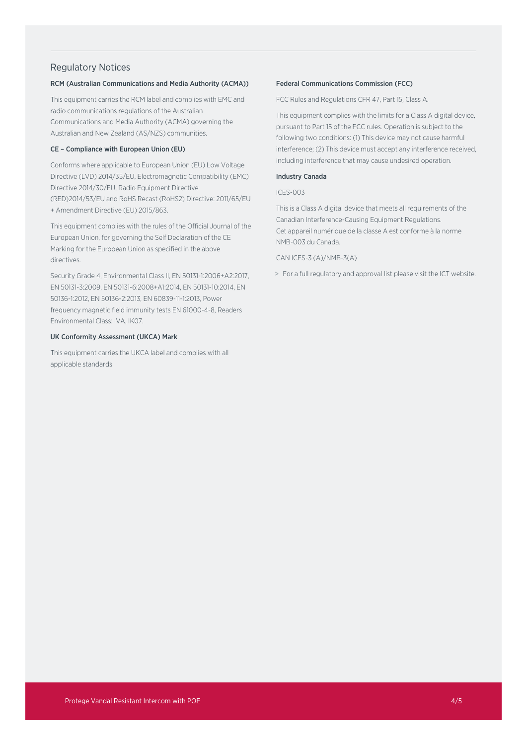### Regulatory Notices

### RCM (Australian Communications and Media Authority (ACMA))

This equipment carries the RCM label and complies with EMC and radio communications regulations of the Australian Communications and Media Authority (ACMA) governing the Australian and New Zealand (AS/NZS) communities.

### CE – Compliance with European Union (EU)

Conforms where applicable to European Union (EU) Low Voltage Directive (LVD) 2014/35/EU, Electromagnetic Compatibility (EMC) Directive 2014/30/EU, Radio Equipment Directive (RED)2014/53/EU and RoHS Recast (RoHS2) Directive: 2011/65/EU + Amendment Directive (EU) 2015/863.

This equipment complies with the rules of the Official Journal of the European Union, for governing the Self Declaration of the CE Marking for the European Union as specified in the above directives.

Security Grade 4, Environmental Class II, EN 50131-1:2006+A2:2017, EN 50131-3:2009, EN 50131-6:2008+A1:2014, EN 50131-10:2014, EN 50136-1:2012, EN 50136-2:2013, EN 60839-11-1:2013, Power frequency magnetic field immunity tests EN 61000-4-8, Readers Environmental Class: IVA, IK07.

### UK Conformity Assessment (UKCA) Mark

This equipment carries the UKCA label and complies with all applicable standards.

### Federal Communications Commission (FCC)

FCC Rules and Regulations CFR 47, Part 15, Class A.

This equipment complies with the limits for a Class A digital device, pursuant to Part 15 of the FCC rules. Operation is subject to the following two conditions: (1) This device may not cause harmful interference; (2) This device must accept any interference received, including interference that may cause undesired operation.

### Industry Canada

### ICES-003

This is a Class A digital device that meets all requirements of the Canadian Interference-Causing Equipment Regulations. Cet appareil numérique de la classe A est conforme à la norme NMB-003 du Canada.

### CAN ICES-3 (A)/NMB-3(A)

> For a full regulatory and approval list please visit the ICT website.